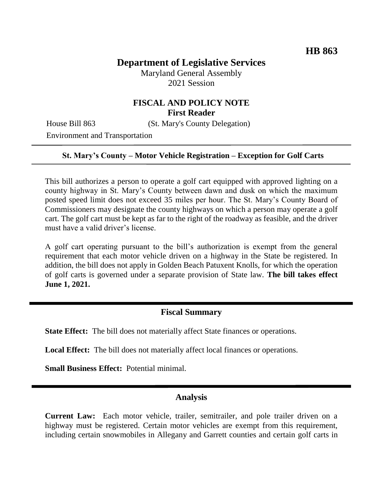# **Department of Legislative Services**

Maryland General Assembly 2021 Session

## **FISCAL AND POLICY NOTE First Reader**

House Bill 863 (St. Mary's County Delegation)

Environment and Transportation

### **St. Mary's County – Motor Vehicle Registration – Exception for Golf Carts**

This bill authorizes a person to operate a golf cart equipped with approved lighting on a county highway in St. Mary's County between dawn and dusk on which the maximum posted speed limit does not exceed 35 miles per hour. The St. Mary's County Board of Commissioners may designate the county highways on which a person may operate a golf cart. The golf cart must be kept as far to the right of the roadway as feasible, and the driver must have a valid driver's license.

A golf cart operating pursuant to the bill's authorization is exempt from the general requirement that each motor vehicle driven on a highway in the State be registered. In addition, the bill does not apply in Golden Beach Patuxent Knolls, for which the operation of golf carts is governed under a separate provision of State law. **The bill takes effect June 1, 2021.**

### **Fiscal Summary**

**State Effect:** The bill does not materially affect State finances or operations.

**Local Effect:** The bill does not materially affect local finances or operations.

**Small Business Effect:** Potential minimal.

### **Analysis**

**Current Law:** Each motor vehicle, trailer, semitrailer, and pole trailer driven on a highway must be registered. Certain motor vehicles are exempt from this requirement, including certain snowmobiles in Allegany and Garrett counties and certain golf carts in